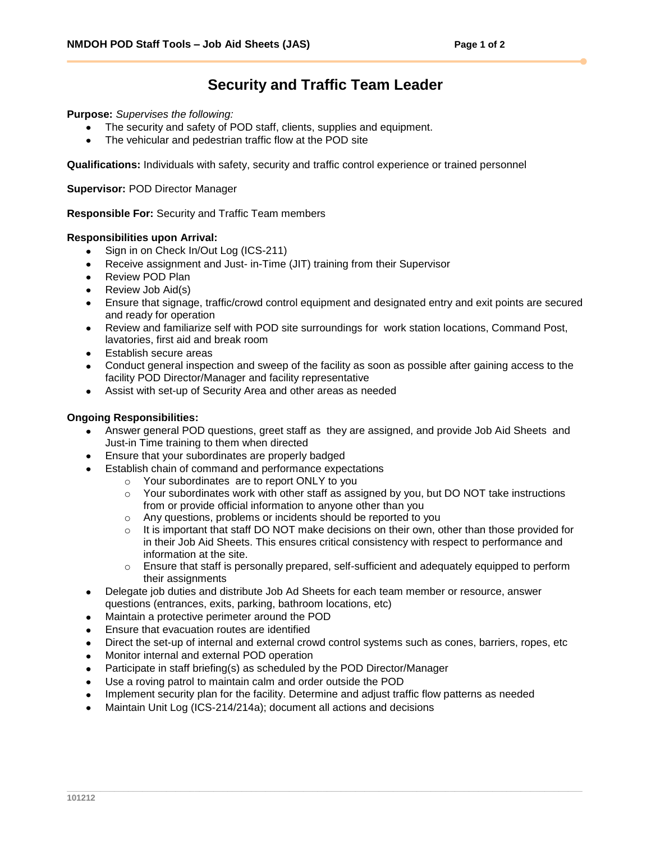## **Security and Traffic Team Leader**

**Purpose:** *Supervises the following:*

- The security and safety of POD staff, clients, supplies and equipment.
- The vehicular and pedestrian traffic flow at the POD site

**Qualifications:** Individuals with safety, security and traffic control experience or trained personnel

**Supervisor:** POD Director Manager

**Responsible For:** Security and Traffic Team members

## **Responsibilities upon Arrival:**

- $\bullet$ Sign in on Check In/Out Log (ICS-211)
- Receive assignment and Just- in-Time (JIT) training from their Supervisor
- Review POD Plan  $\bullet$
- Review Job Aid(s)
- Ensure that signage, traffic/crowd control equipment and designated entry and exit points are secured and ready for operation
- Review and familiarize self with POD site surroundings for work station locations, Command Post,  $\bullet$ lavatories, first aid and break room
- Establish secure areas
- Conduct general inspection and sweep of the facility as soon as possible after gaining access to the facility POD Director/Manager and facility representative
- Assist with set-up of Security Area and other areas as needed

## **Ongoing Responsibilities:**

- Answer general POD questions, greet staff as they are assigned, and provide Job Aid Sheets and Just-in Time training to them when directed
- Ensure that your subordinates are properly badged
- Establish chain of command and performance expectations
	- o Your subordinates are to report ONLY to you
	- $\circ$  Your subordinates work with other staff as assigned by you, but DO NOT take instructions from or provide official information to anyone other than you
	- o Any questions, problems or incidents should be reported to you
	- $\circ$  It is important that staff DO NOT make decisions on their own, other than those provided for in their Job Aid Sheets. This ensures critical consistency with respect to performance and information at the site.
	- $\circ$  Ensure that staff is personally prepared, self-sufficient and adequately equipped to perform their assignments
- Delegate job duties and distribute Job Ad Sheets for each team member or resource, answer questions (entrances, exits, parking, bathroom locations, etc)
- Maintain a protective perimeter around the POD
- Ensure that evacuation routes are identified
- Direct the set-up of internal and external crowd control systems such as cones, barriers, ropes, etc
- Monitor internal and external POD operation
- Participate in staff briefing(s) as scheduled by the POD Director/Manager
- Use a roving patrol to maintain calm and order outside the POD
- Implement security plan for the facility. Determine and adjust traffic flow patterns as needed
- Maintain Unit Log (ICS-214/214a); document all actions and decisions